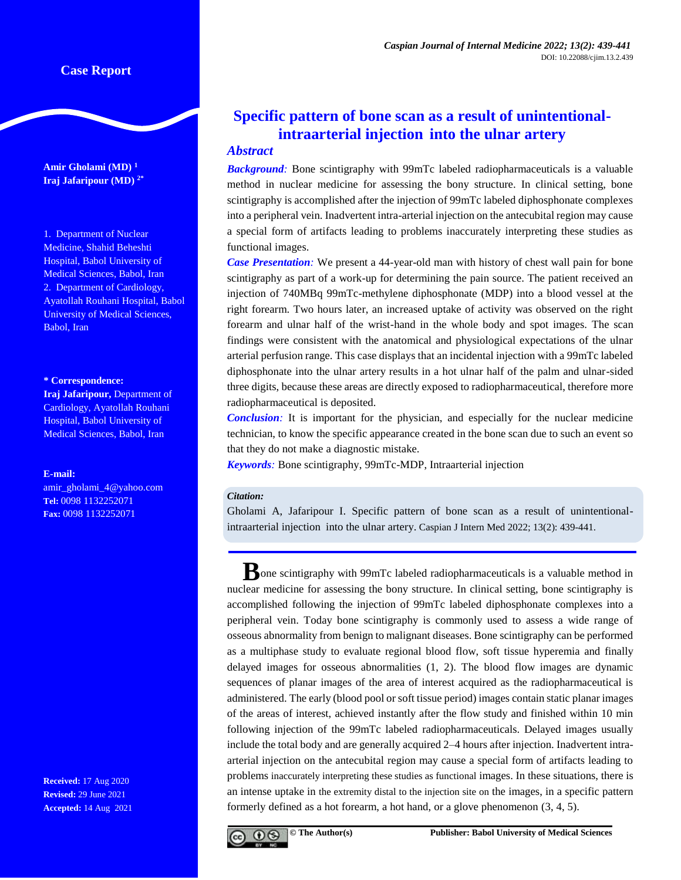**Amir Gholami (MD) <sup>1</sup> Iraj Jafaripour (MD) 2\***

1. Department of Nuclear Medicine, Shahid Beheshti Hospital, Babol University of Medical Sciences, Babol, Iran 2. Department of Cardiology, Ayatollah Rouhani Hospital, Babol University of Medical Sciences, Babol, Iran

#### **\* Correspondence:**

**Iraj Jafaripour,** Department of Cardiology, Ayatollah Rouhani Hospital, Babol University of Medical Sciences, Babol, Iran

#### **E-mail:**

[amir\\_gholami\\_4@yahoo.com](mailto:amir_gholami_4@yahoo.com) **Tel:** 0098 1132252071 **Fax:** 0098 1132252071

**Received:** 17 Aug 2020 **Revised:** 29 June 2021 **Accepted:** 14 Aug 2021

# **Specific pattern of bone scan as a result of unintentionalintraarterial injection into the ulnar artery**

## *Abstract*

*Background:* Bone scintigraphy with 99mTc labeled radiopharmaceuticals is a valuable method in nuclear medicine for assessing the bony structure. In clinical setting, bone scintigraphy is accomplished after the injection of 99mTc labeled diphosphonate complexes into a peripheral vein. Inadvertent intra-arterial injection on the antecubital region may cause a special form of artifacts leading to problems inaccurately interpreting these studies as functional images.

*Case Presentation:* We present a 44-year-old man with history of chest wall pain for bone scintigraphy as part of a work-up for determining the pain source. The patient received an injection of 740MBq 99mTc-methylene diphosphonate (MDP) into a blood vessel at the right forearm. Two hours later, an increased uptake of activity was observed on the right forearm and ulnar half of the wrist-hand in the whole body and spot images. The scan findings were consistent with the anatomical and physiological expectations of the ulnar arterial perfusion range. This case displays that an incidental injection with a 99mTc labeled diphosphonate into the ulnar artery results in a hot ulnar half of the palm and ulnar-sided three digits, because these areas are directly exposed to radiopharmaceutical, therefore more radiopharmaceutical is deposited.

*Conclusion:* It is important for the physician, and especially for the nuclear medicine technician, to know the specific appearance created in the bone scan due to such an event so that they do not make a diagnostic mistake.

*Keywords:* Bone scintigraphy, 99mTc-MDP, Intraarterial injection

## *Citation:*

Gholami A, Jafaripour I. Specific pattern of bone scan as a result of unintentionalintraarterial injection into the ulnar artery. Caspian J Intern Med 2022; 13(2): 439-441.

**B**one scintigraphy with 99mTc labeled radiopharmaceuticals is a valuable method in nuclear medicine for assessing the bony structure. In clinical setting, bone scintigraphy is accomplished following the injection of 99mTc labeled diphosphonate complexes into a peripheral vein. Today bone scintigraphy is commonly used to assess a wide range of osseous abnormality from benign to malignant diseases. Bone scintigraphy can be performed as a multiphase study to evaluate regional blood flow, soft tissue hyperemia and finally delayed images for osseous abnormalities (1, 2). The blood flow images are dynamic sequences of planar images of the area of interest acquired as the radiopharmaceutical is administered. The early (blood pool or soft tissue period) images contain static planar images of the areas of interest, achieved instantly after the flow study and finished within 10 min following injection of the 99mTc labeled radiopharmaceuticals. Delayed images usually include the total body and are generally acquired 2–4 hours after injection. Inadvertent intraarterial injection on the antecubital region may cause a special form of artifacts leading to problems inaccurately interpreting these studies as functional images. In these situations, there is an intense uptake in the extremity distal to the injection site on the images, in a specific pattern formerly defined as a hot forearm, a hot hand, or a glove phenomenon (3, 4, 5).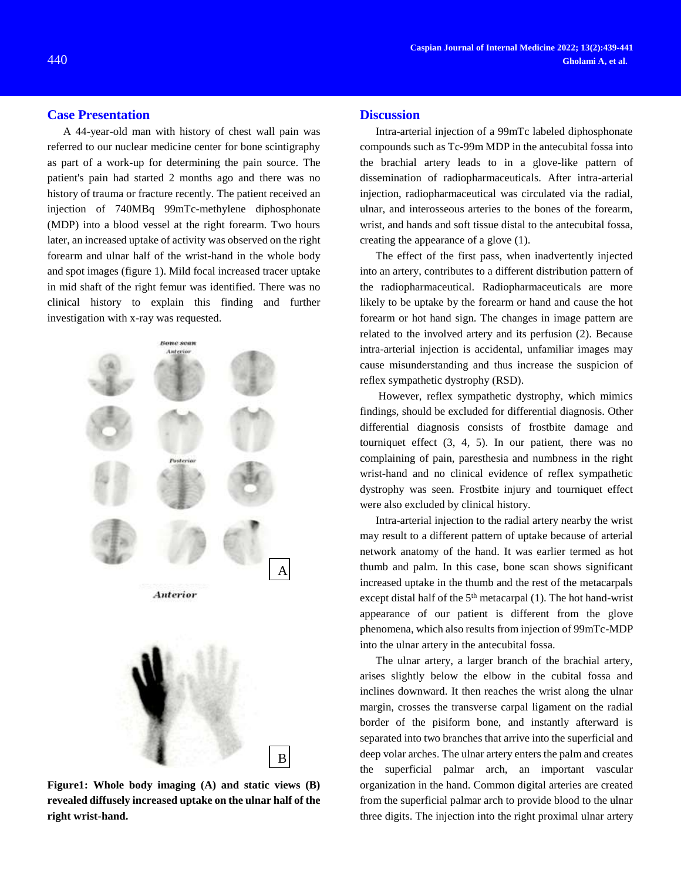#### **Case Presentation**

A 44-year-old man with history of chest wall pain was referred to our nuclear medicine center for bone scintigraphy as part of a work-up for determining the pain source. The patient's pain had started 2 months ago and there was no history of trauma or fracture recently. The patient received an injection of 740MBq 99mTc-methylene diphosphonate (MDP) into a blood vessel at the right forearm. Two hours later, an increased uptake of activity was observed on the right forearm and ulnar half of the wrist-hand in the whole body and spot images (figure 1). Mild focal increased tracer uptake in mid shaft of the right femur was identified. There was no clinical history to explain this finding and further investigation with x-ray was requested.



**Figure1: Whole body imaging (A) and static views (B) revealed diffusely increased uptake on the ulnar half of the right wrist-hand.** 

#### **Discussion**

Intra-arterial injection of a 99mTc labeled diphosphonate compounds such as Tc-99m MDP in the antecubital fossa into the brachial artery leads to in a glove-like pattern of dissemination of radiopharmaceuticals. After intra-arterial injection, radiopharmaceutical was circulated via the radial, ulnar, and interosseous arteries to the bones of the forearm, wrist, and hands and soft tissue distal to the antecubital fossa, creating the appearance of a glove (1).

The effect of the first pass, when inadvertently injected into an artery, contributes to a different distribution pattern of the radiopharmaceutical. Radiopharmaceuticals are more likely to be uptake by the forearm or hand and cause the hot forearm or hot hand sign. The changes in image pattern are related to the involved artery and its perfusion (2). Because intra-arterial injection is accidental, unfamiliar images may cause misunderstanding and thus increase the suspicion of reflex sympathetic dystrophy (RSD).

However, reflex sympathetic dystrophy, which mimics findings, should be excluded for differential diagnosis. Other differential diagnosis consists of frostbite damage and tourniquet effect (3, 4, 5). In our patient, there was no complaining of pain, paresthesia and numbness in the right wrist-hand and no clinical evidence of reflex sympathetic dystrophy was seen. Frostbite injury and tourniquet effect were also excluded by clinical history.

Intra-arterial injection to the radial artery nearby the wrist may result to a different pattern of uptake because of arterial network anatomy of the hand. It was earlier termed as hot thumb and palm. In this case, bone scan shows significant increased uptake in the thumb and the rest of the metacarpals except distal half of the  $5<sup>th</sup>$  metacarpal (1). The hot hand-wrist appearance of our patient is different from the glove phenomena, which also results from injection of 99mTc-MDP into the ulnar artery in the antecubital fossa.

The ulnar artery, a larger branch of the brachial artery, arises slightly below the elbow in the cubital fossa and inclines downward. It then reaches the wrist along the ulnar margin, crosses the transverse carpal ligament on the radial border of the pisiform bone, and instantly afterward is separated into two branches that arrive into the superficial and deep volar arches. The ulnar artery enters the palm and creates the superficial palmar arch, an important vascular organization in the hand. Common digital arteries are created from the superficial palmar arch to provide blood to the ulnar three digits. The injection into the right proximal ulnar artery